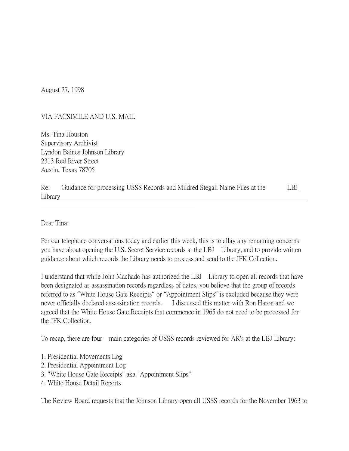August 27, 1998

## VIA FACSIMILE AND U.S. MAIL

Ms. Tina Houston Supervisory Archivist Lyndon Baines Johnson Library 2313 Red River Street Austin, Texas 78705

| Re:     | Guidance for processing USSS Records and Mildred Stegall Name Files at the | LBJ<br>the contract of the contract of the con- |
|---------|----------------------------------------------------------------------------|-------------------------------------------------|
| Library |                                                                            |                                                 |

Dear Tina:

Per our telephone conversations today and earlier this week, this is to allay any remaining concerns you have about opening the U.S. Secret Service records at the LBJ Library, and to provide written guidance about which records the Library needs to process and send to the JFK Collection.

I understand that while John Machado has authorized the LBJ Library to open all records that have been designated as assassination records regardless of dates, you believe that the group of records referred to as "White House Gate Receipts" or "Appointment Slips" is excluded because they were never officially declared assassination records. I discussed this matter with Ron Haron and we agreed that the White House Gate Receipts that commence in 1965 do not need to be processed for the JFK Collection.

To recap, there are four main categories of USSS records reviewed for AR's at the LBJ Library:

- 1. Presidential Movements Log
- 2. Presidential Appointment Log
- 3. "White House Gate Receipts" aka "Appointment Slips"
- 4. White House Detail Reports

The Review Board requests that the Johnson Library open all USSS records for the November 1963 to